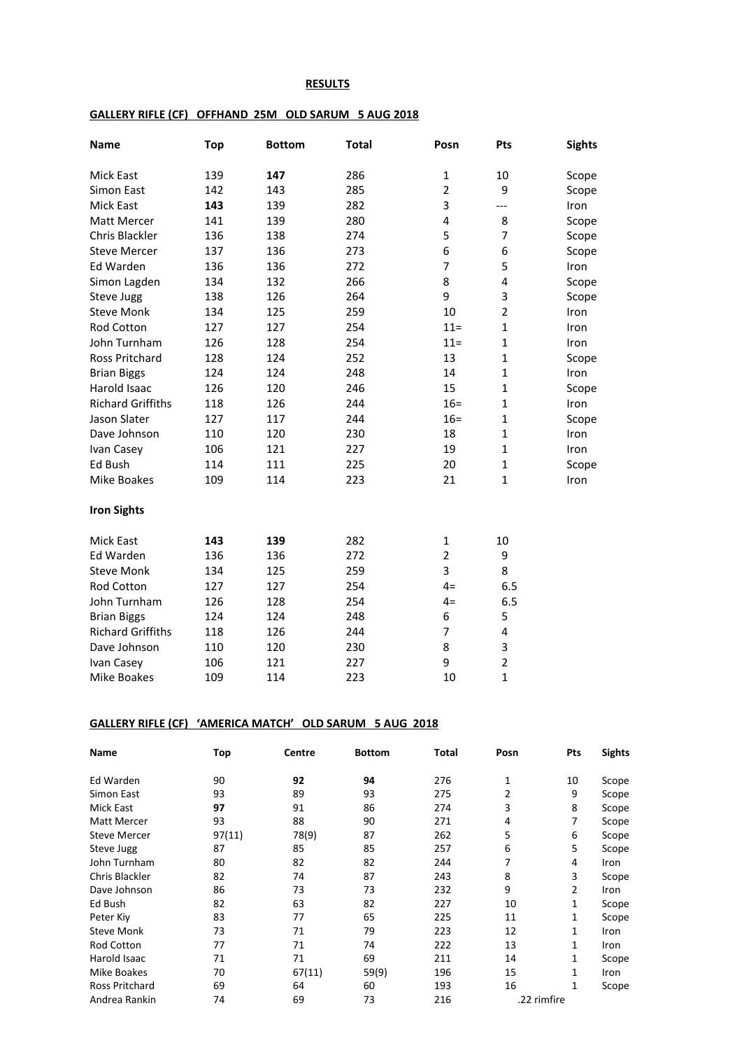## **RESULTS**

## **GALLERY RIFLE (CF) OFFHAND 25M OLD SARUM 5 AUG 2018**

| <b>Name</b>              | <b>Top</b> | <b>Bottom</b> | <b>Total</b> | Posn           | Pts                     | <b>Sights</b> |
|--------------------------|------------|---------------|--------------|----------------|-------------------------|---------------|
| Mick East                | 139        | 147           | 286          | $\mathbf 1$    | 10                      | Scope         |
| Simon East               | 142        | 143           | 285          | $\overline{2}$ | 9                       | Scope         |
| Mick East                | 143        | 139           | 282          | 3              | ---                     | Iron          |
| <b>Matt Mercer</b>       | 141        | 139           | 280          | 4              | 8                       | Scope         |
| Chris Blackler           | 136        | 138           | 274          | 5              | 7                       | Scope         |
| <b>Steve Mercer</b>      | 137        | 136           | 273          | 6              | 6                       | Scope         |
| Ed Warden                | 136        | 136           | 272          | $\overline{7}$ | 5                       | Iron          |
| Simon Lagden             | 134        | 132           | 266          | 8              | $\overline{\mathbf{4}}$ | Scope         |
| Steve Jugg               | 138        | 126           | 264          | 9              | 3                       | Scope         |
| <b>Steve Monk</b>        | 134        | 125           | 259          | 10             | $\overline{2}$          | Iron          |
| <b>Rod Cotton</b>        | 127        | 127           | 254          | $11 =$         | $\mathbf{1}$            | Iron          |
| John Turnham             | 126        | 128           | 254          | $11 =$         | $\mathbf{1}$            | Iron          |
| <b>Ross Pritchard</b>    | 128        | 124           | 252          | 13             | $\mathbf{1}$            | Scope         |
| <b>Brian Biggs</b>       | 124        | 124           | 248          | 14             | $\mathbf{1}$            | Iron          |
| Harold Isaac             | 126        | 120           | 246          | 15             | $\mathbf{1}$            | Scope         |
| <b>Richard Griffiths</b> | 118        | 126           | 244          | $16 =$         | $\mathbf{1}$            | Iron          |
| Jason Slater             | 127        | 117           | 244          | $16 =$         | $\mathbf{1}$            | Scope         |
| Dave Johnson             | 110        | 120           | 230          | 18             | $\mathbf{1}$            | Iron          |
| Ivan Casey               | 106        | 121           | 227          | 19             | $\mathbf{1}$            | Iron          |
| Ed Bush                  | 114        | 111           | 225          | 20             | $\mathbf{1}$            | Scope         |
| Mike Boakes              | 109        | 114           | 223          | 21             | $\mathbf{1}$            | Iron          |
| <b>Iron Sights</b>       |            |               |              |                |                         |               |
| Mick East                | 143        | 139           | 282          | $\mathbf 1$    | 10                      |               |
| Ed Warden                | 136        | 136           | 272          | $\mathbf 2$    | 9                       |               |
| <b>Steve Monk</b>        | 134        | 125           | 259          | 3              | 8                       |               |
| Rod Cotton               | 127        | 127           | 254          | $4=$           | 6.5                     |               |
| John Turnham             | 126        | 128           | 254          | $4=$           | 6.5                     |               |
| <b>Brian Biggs</b>       | 124        | 124           | 248          | 6              | 5                       |               |
| <b>Richard Griffiths</b> | 118        | 126           | 244          | $\overline{7}$ | 4                       |               |
| Dave Johnson             | 110        | 120           | 230          | 8              | 3                       |               |
| Ivan Casey               | 106        | 121           | 227          | 9              | $\overline{2}$          |               |
| Mike Boakes              | 109        | 114           | 223          | 10             | $\mathbf{1}$            |               |

## **GALLERY RIFLE (CF) 'AMERICA MATCH' OLD SARUM 5 AUG 2018**

| <b>Name</b>           | Top    | Centre | <b>Bottom</b> | Total | Posn | Pts            | <b>Sights</b> |
|-----------------------|--------|--------|---------------|-------|------|----------------|---------------|
| Ed Warden             | 90     | 92     | 94            | 276   | 1    | 10             | Scope         |
| Simon East            | 93     | 89     | 93            | 275   | 2    | 9              | Scope         |
| Mick East             | 97     | 91     | 86            | 274   | 3    | 8              | Scope         |
| <b>Matt Mercer</b>    | 93     | 88     | 90            | 271   | 4    | 7              | Scope         |
| <b>Steve Mercer</b>   | 97(11) | 78(9)  | 87            | 262   | 5    | 6              | Scope         |
| Steve Jugg            | 87     | 85     | 85            | 257   | 6    | 5              | Scope         |
| John Turnham          | 80     | 82     | 82            | 244   | 7    | 4              | Iron          |
| Chris Blackler        | 82     | 74     | 87            | 243   | 8    | 3              | Scope         |
| Dave Johnson          | 86     | 73     | 73            | 232   | 9    | $\overline{2}$ | <b>Iron</b>   |
| Ed Bush               | 82     | 63     | 82            | 227   | 10   | 1              | Scope         |
| Peter Kiy             | 83     | 77     | 65            | 225   | 11   | 1              | Scope         |
| <b>Steve Monk</b>     | 73     | 71     | 79            | 223   | 12   | 1              | <b>Iron</b>   |
| <b>Rod Cotton</b>     | 77     | 71     | 74            | 222   | 13   | $\mathbf{1}$   | <b>Iron</b>   |
| Harold Isaac          | 71     | 71     | 69            | 211   | 14   | 1              | Scope         |
| Mike Boakes           | 70     | 67(11) | 59(9)         | 196   | 15   | 1              | Iron          |
| <b>Ross Pritchard</b> | 69     | 64     | 60            | 193   | 16   | 1              | Scope         |
| Andrea Rankin         | 74     | 69     | 73            | 216   |      | .22 rimfire    |               |